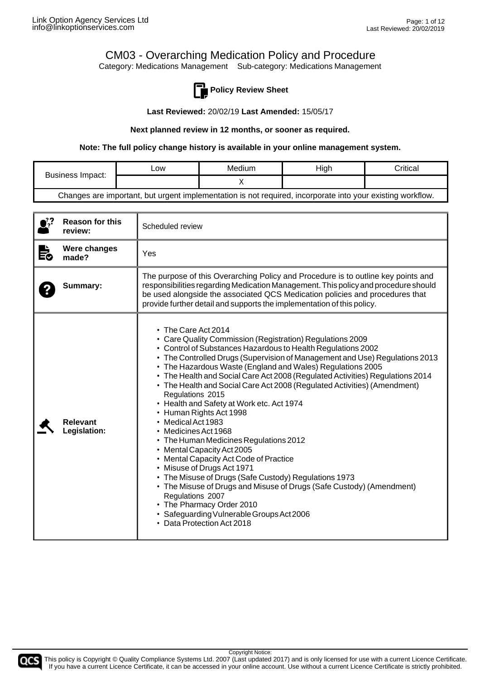Category: Medications Management Sub-category: Medications Management



**Policy Review Sheet**

**Last Reviewed:** 20/02/19 **Last Amended:** 15/05/17

**Next planned review in 12 months, or sooner as required.**

**Note: The full policy change history is available in your online management system.**

| Business Impact:                                                                                           | ∟ow | Medium | High | Critical |
|------------------------------------------------------------------------------------------------------------|-----|--------|------|----------|
|                                                                                                            |     |        |      |          |
| Changes are important, but urgent implementation is not required, incorporate into your existing workflow. |     |        |      |          |

|    | <b>Reason for this</b><br>review: | Scheduled review                                                                                                                                                                                                                                                                                                                                                                                                                                                                                                                                                                                                                                                                                                                                                                                                                                                                                                                                                                                                        |
|----|-----------------------------------|-------------------------------------------------------------------------------------------------------------------------------------------------------------------------------------------------------------------------------------------------------------------------------------------------------------------------------------------------------------------------------------------------------------------------------------------------------------------------------------------------------------------------------------------------------------------------------------------------------------------------------------------------------------------------------------------------------------------------------------------------------------------------------------------------------------------------------------------------------------------------------------------------------------------------------------------------------------------------------------------------------------------------|
| È. | <b>Were changes</b><br>made?      | Yes                                                                                                                                                                                                                                                                                                                                                                                                                                                                                                                                                                                                                                                                                                                                                                                                                                                                                                                                                                                                                     |
|    | Summary:                          | The purpose of this Overarching Policy and Procedure is to outline key points and<br>responsibilities regarding Medication Management. This policy and procedure should<br>be used alongside the associated QCS Medication policies and procedures that<br>provide further detail and supports the implementation of this policy.                                                                                                                                                                                                                                                                                                                                                                                                                                                                                                                                                                                                                                                                                       |
|    | <b>Relevant</b><br>Legislation:   | $\cdot$ The Care Act 2014<br>• Care Quality Commission (Registration) Regulations 2009<br>• Control of Substances Hazardous to Health Regulations 2002<br>• The Controlled Drugs (Supervision of Management and Use) Regulations 2013<br>• The Hazardous Waste (England and Wales) Regulations 2005<br>• The Health and Social Care Act 2008 (Regulated Activities) Regulations 2014<br>• The Health and Social Care Act 2008 (Regulated Activities) (Amendment)<br>Regulations 2015<br>• Health and Safety at Work etc. Act 1974<br>• Human Rights Act 1998<br>• Medical Act 1983<br>• Medicines Act 1968<br>• The Human Medicines Regulations 2012<br>• Mental Capacity Act 2005<br>• Mental Capacity Act Code of Practice<br>• Misuse of Drugs Act 1971<br>• The Misuse of Drugs (Safe Custody) Regulations 1973<br>• The Misuse of Drugs and Misuse of Drugs (Safe Custody) (Amendment)<br>Regulations 2007<br>• The Pharmacy Order 2010<br>• Safeguarding Vulnerable Groups Act 2006<br>• Data Protection Act 2018 |



This policy is Copyright © Quality Compliance Systems Ltd. 2007 (Last updated 2017) and is only licensed for use with a current Licence Certificate. If you have a current Licence Certificate, it can be accessed in your online account. Use without a current Licence Certificate is strictly prohibited.

Copyright Notice: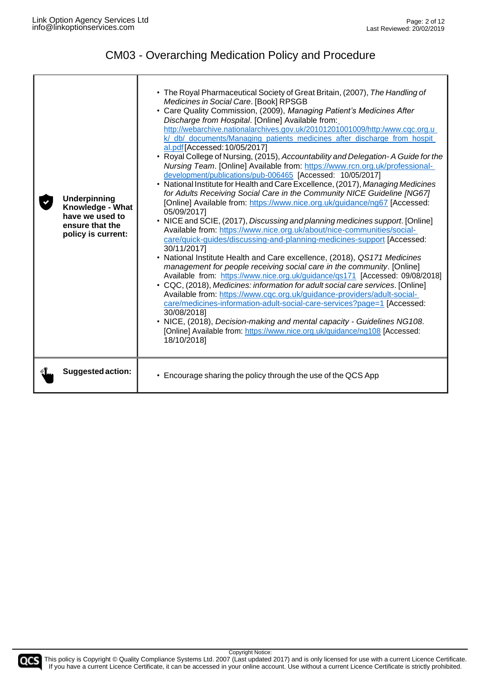| <b>Underpinning</b><br>Knowledge - What<br>have we used to<br>ensure that the<br>policy is current: | • The Royal Pharmaceutical Society of Great Britain, (2007), The Handling of<br>Medicines in Social Care. [Book] RPSGB<br>• Care Quality Commission, (2009), Managing Patient's Medicines After<br>Discharge from Hospital. [Online] Available from:<br>http://webarchive.nationalarchives.gov.uk/20101201001009/http:/www.cqc.org.u<br>k/_db/_documents/Managing_patients_medicines_after_discharge_from_hospit<br>al.pdf [Accessed: 10/05/2017]<br>• Royal College of Nursing, (2015), Accountability and Delegation- A Guide for the<br>Nursing Team. [Online] Available from: https://www.rcn.org.uk/professional-<br>development/publications/pub-006465 [Accessed: 10/05/2017]<br>• National Institute for Health and Care Excellence, (2017), Managing Medicines<br>for Adults Receiving Social Care in the Community NICE Guideline [NG67]<br>[Online] Available from: https://www.nice.org.uk/guidance/ng67 [Accessed:<br>05/09/2017]<br>• NICE and SCIE, (2017), Discussing and planning medicines support. [Online]<br>Available from: https://www.nice.org.uk/about/nice-communities/social-<br>care/quick-guides/discussing-and-planning-medicines-support [Accessed:<br>30/11/2017]<br>• National Institute Health and Care excellence, (2018), QS171 Medicines<br>management for people receiving social care in the community. [Online]<br>Available from: https://www.nice.org.uk/guidance/qs171 [Accessed: 09/08/2018]<br>• CQC, (2018), Medicines: information for adult social care services. [Online]<br>Available from: https://www.cqc.org.uk/guidance-providers/adult-social-<br>care/medicines-information-adult-social-care-services?page=1 [Accessed:<br>30/08/2018]<br>• NICE, (2018), Decision-making and mental capacity - Guidelines NG108.<br>[Online] Available from: https://www.nice.org.uk/guidance/ng108 [Accessed:<br>18/10/2018] |
|-----------------------------------------------------------------------------------------------------|-------------------------------------------------------------------------------------------------------------------------------------------------------------------------------------------------------------------------------------------------------------------------------------------------------------------------------------------------------------------------------------------------------------------------------------------------------------------------------------------------------------------------------------------------------------------------------------------------------------------------------------------------------------------------------------------------------------------------------------------------------------------------------------------------------------------------------------------------------------------------------------------------------------------------------------------------------------------------------------------------------------------------------------------------------------------------------------------------------------------------------------------------------------------------------------------------------------------------------------------------------------------------------------------------------------------------------------------------------------------------------------------------------------------------------------------------------------------------------------------------------------------------------------------------------------------------------------------------------------------------------------------------------------------------------------------------------------------------------------------------------------------------------------------------------------------------------------------------------------------------|
| Suggested action:                                                                                   | Encourage sharing the policy through the use of the QCS App<br>$\bullet$                                                                                                                                                                                                                                                                                                                                                                                                                                                                                                                                                                                                                                                                                                                                                                                                                                                                                                                                                                                                                                                                                                                                                                                                                                                                                                                                                                                                                                                                                                                                                                                                                                                                                                                                                                                                |



Copyright Notice: This policy is Copyright © Quality Compliance Systems Ltd. 2007 (Last updated 2017) and is only licensed for use with a current Licence Certificate. If you have a current Licence Certificate, it can be accessed in your online account. Use without a current Licence Certificate is strictly prohibited.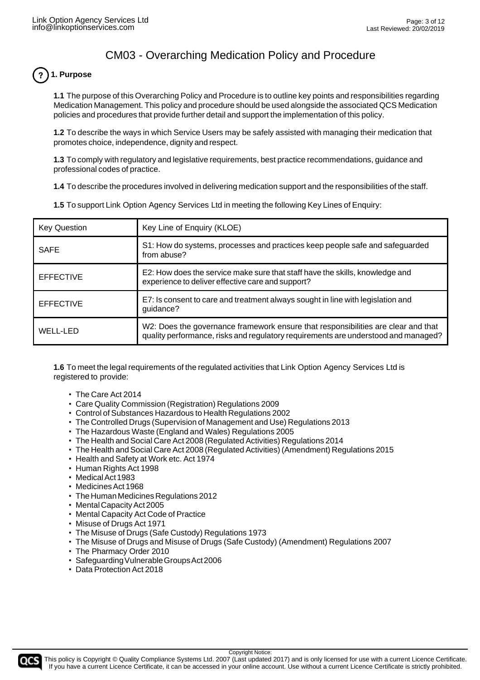# **1. Purpose**

**1.1** The purpose of this Overarching Policy and Procedure is to outline key points and responsibilities regarding Medication Management. This policy and procedure should be used alongside the associated QCS Medication policies and procedures that provide further detail and support the implementation of this policy.

**1.2** To describe the ways in which Service Users may be safely assisted with managing their medication that promotes choice, independence, dignity and respect.

**1.3** To comply with regulatory and legislative requirements, best practice recommendations, guidance and professional codes of practice.

**1.4** To describe the procedures involved in delivering medication support and the responsibilities of the staff.

| <b>Key Question</b> | Key Line of Enquiry (KLOE)                                                                                                                                              |
|---------------------|-------------------------------------------------------------------------------------------------------------------------------------------------------------------------|
| <b>SAFE</b>         | S1: How do systems, processes and practices keep people safe and safeguarded<br>from abuse?                                                                             |
| <b>EFFECTIVE</b>    | E2: How does the service make sure that staff have the skills, knowledge and<br>experience to deliver effective care and support?                                       |
| <b>EFFECTIVE</b>    | E7: Is consent to care and treatment always sought in line with legislation and<br>guidance?                                                                            |
| <b>WELL-LED</b>     | W2: Does the governance framework ensure that responsibilities are clear and that<br>quality performance, risks and regulatory requirements are understood and managed? |

**1.5** To support Link Option Agency Services Ltd in meeting the following Key Lines of Enquiry:

**1.6** To meet the legal requirements of the regulated activities that Link Option Agency Services Ltd is registered to provide:

- The Care Act 2014
- Care Quality Commission (Registration) Regulations 2009
- Control of Substances Hazardous to Health Regulations 2002
- The Controlled Drugs (Supervision of Management and Use) Regulations 2013
- The Hazardous Waste (England and Wales) Regulations 2005
- The Health and Social Care Act 2008 (Regulated Activities) Regulations 2014
- The Health and Social Care Act 2008 (Regulated Activities) (Amendment) Regulations 2015
- Health and Safety at Work etc. Act 1974
- Human Rights Act 1998
- Medical Act 1983
- Medicines Act 1968
- The Human Medicines Regulations 2012
- Mental Capacity Act 2005
- Mental Capacity Act Code of Practice
- Misuse of Drugs Act 1971
- The Misuse of Drugs (Safe Custody) Regulations 1973
- The Misuse of Drugs and Misuse of Drugs (Safe Custody) (Amendment) Regulations 2007
- The Pharmacy Order 2010
- Safeguarding Vulnerable Groups Act 2006
- Data Protection Act 2018

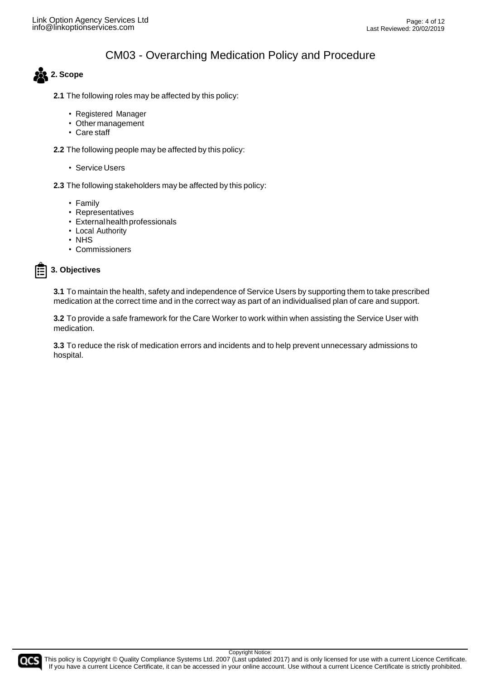

- **2.1** The following roles may be affected by this policy:
	- Registered Manager
	- Other management
	- Care staff

**2.2** The following people may be affected by this policy:

- Service Users
- **2.3** The following stakeholders may be affected by this policy:
	- Family
	- Representatives
	- Externalhealthprofessionals
	- Local Authority
	- NHS
	- Commissioners



**3. Objectives**

**3.1** To maintain the health, safety and independence of Service Users by supporting them to take prescribed medication at the correct time and in the correct way as part of an individualised plan of care and support.

**3.2** To provide a safe framework for the Care Worker to work within when assisting the Service User with medication.

**3.3** To reduce the risk of medication errors and incidents and to help prevent unnecessary admissions to hospital.

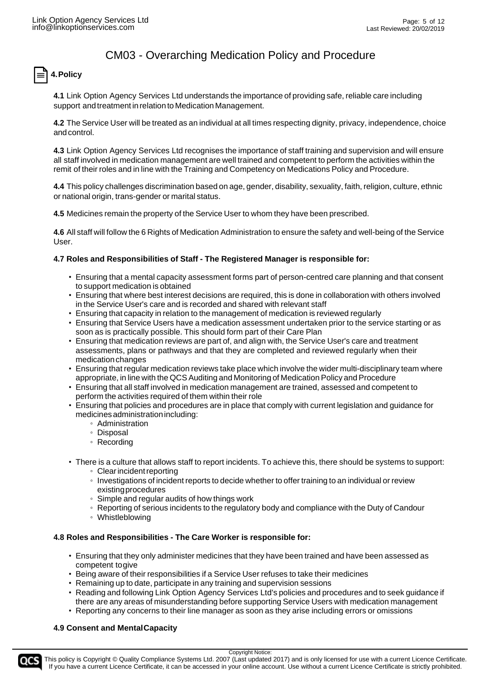**4.Policy**

**4.1** Link Option Agency Services Ltd understands the importance of providing safe, reliable care including support and treatment in relation to Medication Management.

**4.2** The Service User will be treated as an individual at all times respecting dignity, privacy, independence, choice andcontrol.

**4.3** Link Option Agency Services Ltd recognises the importance of staff training and supervision and will ensure all staff involved in medication management are well trained and competent to perform the activities within the remit of their roles and in line with the Training and Competency on Medications Policy and Procedure.

**4.4** This policy challenges discrimination based on age, gender, disability, sexuality, faith, religion, culture, ethnic or national origin, trans-gender or marital status.

**4.5** Medicines remain the property of the Service User to whom they have been prescribed.

**4.6** All staff will follow the 6 Rights of Medication Administration to ensure the safety and well-being of the Service User.

### **4.7 Roles and Responsibilities of Staff - The Registered Manager is responsible for:**

- Ensuring that a mental capacity assessment forms part of person-centred care planning and that consent to support medication is obtained
- Ensuring that where best interest decisions are required, this is done in collaboration with others involved in the Service User's care and is recorded and shared with relevant staff
- Ensuring that capacity in relation to the management of medication is reviewed regularly
- Ensuring that Service Users have a medication assessment undertaken prior to the service starting or as soon as is practically possible. This should form part of their Care Plan
- Ensuring that medication reviews are part of, and align with, the Service User's care and treatment assessments, plans or pathways and that they are completed and reviewed regularly when their medication changes
- Ensuring that regular medication reviews take place which involve the wider multi-disciplinary team where appropriate, in line with the QCSAuditing and Monitoring of Medication Policy and Procedure
- Ensuring that all staff involved in medication management are trained, assessed and competent to perform the activities required of them within their role
- Ensuring that policies and procedures are in place that comply with current legislation and guidance for medicines administration including:
	- Administration
	- Disposal
	- Recording
- There is a culture that allows staff to report incidents. To achieve this, there should be systems to support:
	- Clearincidentreporting
	- Investigations of incident reports to decide whether to offer training to an individual or review existingprocedures
	- Simple and regular audits of how things work
	- Reporting of serious incidents to the regulatory body and compliance with the Duty of Candour
	- Whistleblowing

### **4.8 Roles and Responsibilities - The Care Worker is responsible for:**

- Ensuring that they only administer medicines that they have been trained and have been assessed as competent togive
- Being aware of their responsibilities if a Service User refuses to take their medicines
- Remaining up to date, participate in any training and supervision sessions
- Reading and following Link Option Agency Services Ltd's policies and procedures and to seek guidance if there are any areas of misunderstanding before supporting Service Users with medication management
- Reporting any concerns to their line manager as soon as they arise including errors or omissions

### **4.9 Consent and MentalCapacity**

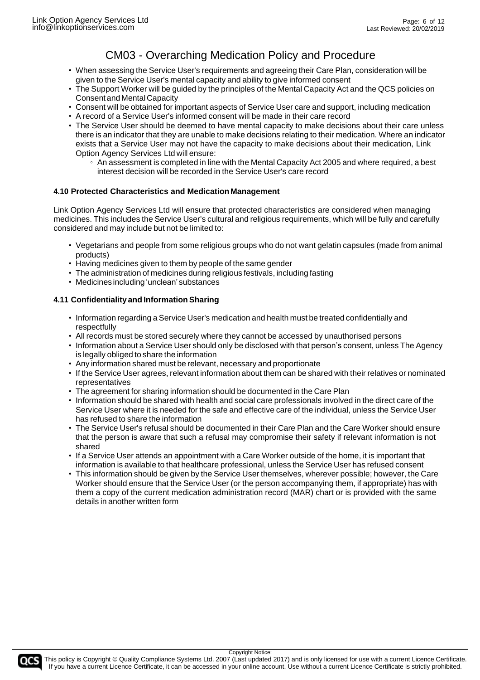- When assessing the Service User's requirements and agreeing their Care Plan, consideration will be given to the Service User's mental capacity and ability to give informed consent
- The Support Worker will be guided by the principles of the Mental Capacity Act and the QCS policies on Consent and Mental Capacity
- Consent will be obtained for important aspects of Service User care and support, including medication
- A record of a Service User's informed consent will be made in their care record
- The Service User should be deemed to have mental capacity to make decisions about their care unless there is an indicator that they are unable to make decisions relating to their medication. Where an indicator exists that a Service User may not have the capacity to make decisions about their medication, Link Option Agency Services Ltd will ensure:
	- An assessment is completed in line with the Mental Capacity Act 2005 and where required, a best interest decision will be recorded in the Service User's care record

#### **4.10 Protected Characteristics and Medication Management**

Link Option Agency Services Ltd will ensure that protected characteristics are considered when managing medicines. This includes the Service User's cultural and religious requirements, which will be fully and carefully considered and may include but not be limited to:

- Vegetarians and people from some religious groups who do not want gelatin capsules (made from animal products)
- Having medicines given to them by people of the same gender
- The administration of medicines during religious festivals, including fasting
- Medicines including 'unclean' substances

### **4.11 Confidentiality and InformationSharing**

- Information regarding a Service User's medication and health must be treated confidentially and respectfully
- All records must be stored securely where they cannot be accessed by unauthorised persons
- Information about a Service User should only be disclosed with that person's consent, unless The Agency is legally obliged to share the information
- Any information shared must be relevant, necessary and proportionate
- If the Service User agrees, relevant information about them can be shared with their relatives or nominated representatives
- The agreement for sharing information should be documented in the Care Plan
- Information should be shared with health and social care professionals involved in the direct care of the Service User where it is needed for the safe and effective care of the individual, unless the Service User has refused to share the information
- The Service User's refusal should be documented in their Care Plan and the Care Worker should ensure that the person is aware that such a refusal may compromise their safety if relevant information is not shared
- If a Service User attends an appointment with a Care Worker outside of the home, it is important that information is available to that healthcare professional, unless the Service User has refused consent
- This information should be given by the Service User themselves, wherever possible; however, the Care Worker should ensure that the Service User (or the person accompanying them, if appropriate) has with them a copy of the current medication administration record (MAR) chart or is provided with the same details in another written form



This policy is Copyright © Quality Compliance Systems Ltd. 2007 (Last updated 2017) and is only licensed for use with a current Licence Certificate. If you have a current Licence Certificate, it can be accessed in your online account. Use without a current Licence Certificate is strictly prohibited.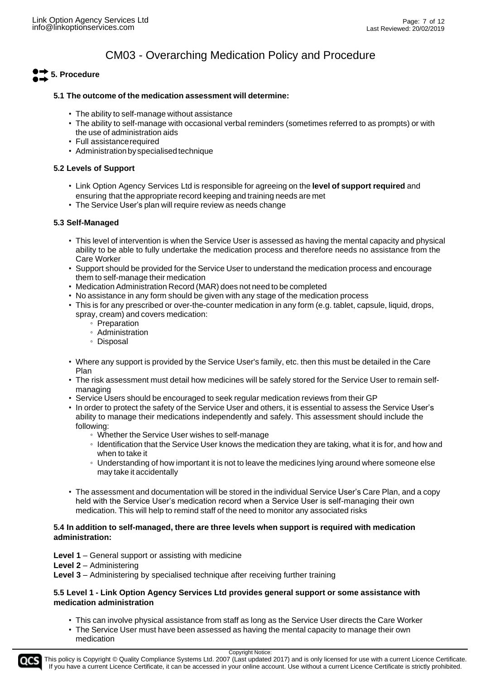# **5. Procedure**

### **5.1 The outcome of the medication assessment will determine:**

- The ability to self-manage without assistance
- The ability to self-manage with occasional verbal reminders (sometimes referred to as prompts) or with the use of administration aids
- Full assistancerequired
- Administration by specialised technique

### **5.2 Levels of Support**

- Link Option Agency Services Ltd is responsible for agreeing on the **level of support required** and ensuring that the appropriate record keeping and training needs are met
- The Service User's plan will require review as needs change

### **5.3 Self-Managed**

- This level of intervention is when the Service User is assessed as having the mental capacity and physical ability to be able to fully undertake the medication process and therefore needs no assistance from the Care Worker
- Support should be provided for the Service User to understand the medication process and encourage them to self-manage their medication
- Medication Administration Record (MAR) does not need to be completed
- No assistance in any form should be given with any stage of the medication process
- This is for any prescribed or over-the-counter medication in any form (e.g. tablet, capsule, liquid, drops, spray, cream) and covers medication:
	- Preparation
	- Administration
	- Disposal
- Where any support is provided by the Service User's family, etc. then this must be detailed in the Care Plan
- The risk assessment must detail how medicines will be safely stored for the Service User to remain selfmanaging
- Service Users should be encouraged to seek regular medication reviews from their GP
- In order to protect the safety of the Service User and others, it is essential to assess the Service User's ability to manage their medications independently and safely. This assessment should include the following:
	- Whether the Service User wishes to self-manage
	- Identification that the Service User knows the medication they are taking, what it is for, and how and when to take it
	- Understanding of how important it is not to leave the medicines lying around where someone else may take it accidentally
- The assessment and documentation will be stored in the individual Service User's Care Plan, and a copy held with the Service User's medication record when a Service User is self-managing their own medication. This will help to remind staff of the need to monitor any associated risks

### **5.4 In addition to self-managed, there are three levels when support is required with medication administration:**

- Level 1 General support or assisting with medicine
- **Level 2**  Administering
- **Level 3**  Administering by specialised technique after receiving further training

### **5.5 Level 1 - Link Option Agency Services Ltd provides general support or some assistance with medication administration**

- This can involve physical assistance from staff as long as the Service User directs the Care Worker
- The Service User must have been assessed as having the mental capacity to manage their own medication

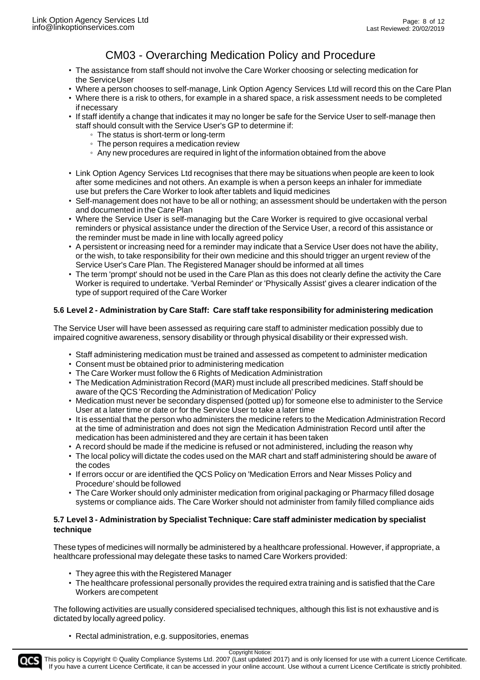- The assistance from staff should not involve the Care Worker choosing or selecting medication for the ServiceUser
- Where a person chooses to self-manage, Link Option Agency Services Ltd will record this on the Care Plan
- Where there is a risk to others, for example in a shared space, a risk assessment needs to be completed if necessary
- If staff identify a change that indicates it may no longer be safe for the Service User to self-manage then staff should consult with the Service User's GP to determine if:
	- The status is short-term or long-term
	- The person requires a medication review
	- Any new procedures are required in light of the information obtained from the above
- Link Option Agency Services Ltd recognises that there may be situations when people are keen to look after some medicines and not others. An example is when a person keeps an inhaler for immediate use but prefers the Care Worker to look after tablets and liquid medicines
- Self-management does not have to be all or nothing; an assessment should be undertaken with the person and documented in the Care Plan
- Where the Service User is self-managing but the Care Worker is required to give occasional verbal reminders or physical assistance under the direction of the Service User, a record of this assistance or the reminder must be made in line with locally agreed policy
- A persistent or increasing need for a reminder may indicate that a Service User does not have the ability, or the wish, to take responsibility for their own medicine and this should trigger an urgent review of the Service User's Care Plan. The Registered Manager should be informed at all times
- The term 'prompt' should not be used in the Care Plan as this does not clearly define the activity the Care Worker is required to undertake. 'Verbal Reminder' or 'Physically Assist' gives a clearer indication of the type of support required of the Care Worker

### **5.6 Level 2 - Administration by Care Staff: Care staff take responsibility for administering medication**

The Service User will have been assessed as requiring care staff to administer medication possibly due to impaired cognitive awareness, sensory disability or through physical disability or their expressed wish.

- Staff administering medication must be trained and assessed as competent to administer medication
- Consent must be obtained prior to administering medication
- The Care Worker must follow the 6 Rights of Medication Administration
- The Medication Administration Record (MAR) must include all prescribed medicines. Staff should be aware of the QCS 'Recording the Administration of Medication' Policy
- Medication must never be secondary dispensed (potted up) for someone else to administer to the Service User at a later time or date or for the Service User to take a later time
- It is essential that the person who administers the medicine refers to the Medication Administration Record at the time of administration and does not sign the Medication Administration Record until after the medication has been administered and they are certain it has been taken
- A record should be made if the medicine is refused or not administered, including the reason why
- The local policy will dictate the codes used on the MAR chart and staff administering should be aware of the codes
- If errors occur or are identified the QCS Policy on 'Medication Errors and Near Misses Policy and Procedure' should be followed
- The Care Worker should only administer medication from original packaging or Pharmacy filled dosage systems or compliance aids. The Care Worker should not administer from family filled compliance aids

### **5.7 Level 3 - Administration by Specialist Technique: Care staff administer medication by specialist technique**

These types of medicines will normally be administered by a healthcare professional. However, if appropriate, a healthcare professional may delegate these tasks to named Care Workers provided:

- They agree this with the Registered Manager
- The healthcare professional personally provides the required extra training and is satisfied that the Care Workers arecompetent

The following activities are usually considered specialised techniques, although this list is not exhaustive and is dictated by locally agreed policy.

• Rectal administration, e.g. suppositories, enemas

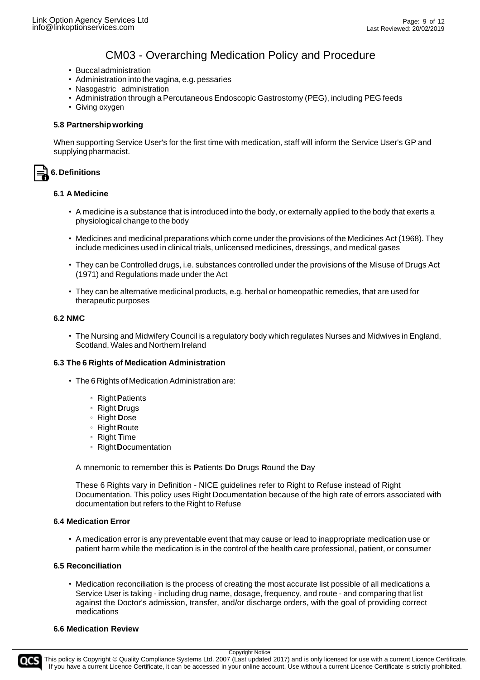- Buccaladministration
- Administration into the vagina, e.g. pessaries
- Nasogastric administration
- Administration through a Percutaneous Endoscopic Gastrostomy (PEG), including PEG feeds
- Giving oxygen

#### **5.8 Partnershipworking**

When supporting Service User's for the first time with medication, staff will inform the Service User's GP and supplyingpharmacist.

### **6. Definitions**

#### **6.1 A Medicine**

- A medicine is a substance that is introduced into the body, or externally applied to the body that exerts a physiological change to the body
- Medicines and medicinal preparations which come under the provisions of the Medicines Act (1968). They include medicines used in clinical trials, unlicensed medicines, dressings, and medical gases
- They can be Controlled drugs, i.e. substances controlled under the provisions of the Misuse of Drugs Act (1971) and Regulations made under the Act
- They can be alternative medicinal products, e.g. herbal or homeopathic remedies, that are used for therapeuticpurposes

#### **6.2 NMC**

• The Nursing and Midwifery Council is a regulatory body which regulates Nurses and Midwives in England, Scotland, Wales and Northern Ireland

#### **6.3 The 6 Rights of Medication Administration**

- The 6 Rights of Medication Administration are:
	- Right**P**atients
	- Right **D**rugs
	- Right **D**ose
	- Right**R**oute
	- Right **T**ime
	- Right**D**ocumentation

A mnemonic to remember this is **P**atients **D**o **D**rugs **R**ound the **D**ay

These 6 Rights vary in Definition - NICE guidelines refer to Right to Refuse instead of Right Documentation. This policy uses Right Documentation because of the high rate of errors associated with documentation but refers to the Right to Refuse

#### **6.4 Medication Error**

• A medication error is any preventable event that may cause or lead to inappropriate medication use or patient harm while the medication is in the control of the health care professional, patient, or consumer

#### **6.5 Reconciliation**

• Medication reconciliation is the process of creating the most accurate list possible of all medications a Service User is taking - including drug name, dosage, frequency, and route - and comparing that list against the Doctor's admission, transfer, and/or discharge orders, with the goal of providing correct medications

#### **6.6 Medication Review**

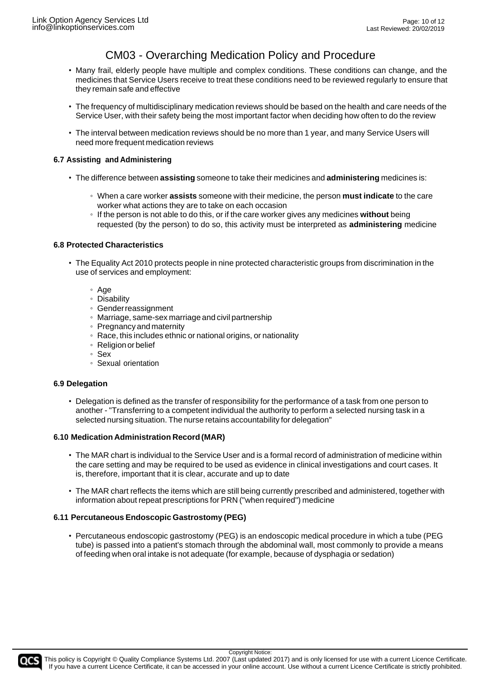- Many frail, elderly people have multiple and complex conditions. These conditions can change, and the medicines that Service Users receive to treat these conditions need to be reviewed regularly to ensure that they remain safe and effective
- The frequency of multidisciplinary medication reviews should be based on the health and care needs of the Service User, with their safety being the most important factor when deciding how often to do the review
- The interval between medication reviews should be no more than 1 year, and many Service Users will need more frequent medication reviews

### **6.7 Assisting and Administering**

- The difference between **assisting** someone to take their medicines and **administering** medicines is:
	- When a care worker **assists** someone with their medicine, the person **must indicate** to the care worker what actions they are to take on each occasion
	- If the person is not able to do this, or if the care worker gives any medicines **without** being requested (by the person) to do so, this activity must be interpreted as **administering** medicine

### **6.8 Protected Characteristics**

- The Equality Act 2010 protects people in nine protected characteristic groups from discrimination in the use of services and employment:
	- Age
	- Disability
	- Genderreassignment
	- Marriage, same-sex marriage and civil partnership
	- Pregnancy and maternity
	- Race, this includes ethnic or national origins, or nationality
	- Religionorbelief
	- Sex
	- Sexual orientation

#### **6.9 Delegation**

• Delegation is defined as the transfer of responsibility for the performance of a task from one person to another - "Transferring to a competent individual the authority to perform a selected nursing task in a selected nursing situation. The nurse retains accountability for delegation"

### **6.10 Medication Administration Record (MAR)**

- The MAR chart is individual to the Service User and is a formal record of administration of medicine within the care setting and may be required to be used as evidence in clinical investigations and court cases. It is, therefore, important that it is clear, accurate and up to date
- The MAR chart reflects the items which are still being currently prescribed and administered, together with information about repeat prescriptions for PRN ("when required") medicine

### **6.11 Percutaneous Endoscopic Gastrostomy (PEG)**

• Percutaneous endoscopic gastrostomy (PEG) is an endoscopic medical procedure in which a tube (PEG tube) is passed into a patient's stomach through the abdominal wall, most commonly to provide a means of feeding when oral intake is not adequate (for example, because of dysphagia or sedation)



This policy is Copyright © Quality Compliance Systems Ltd. 2007 (Last updated 2017) and is only licensed for use with a current Licence Certificate. If you have a current Licence Certificate, it can be accessed in your online account. Use without a current Licence Certificate is strictly prohibited.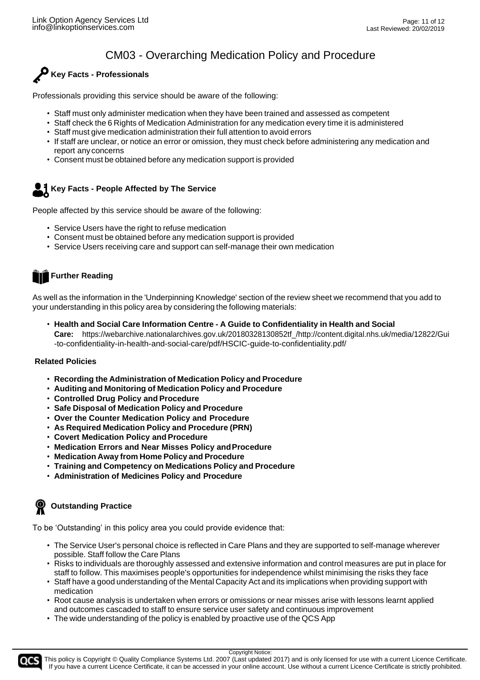# **Key Facts - Professionals**

Professionals providing this service should be aware of the following:

- Staff must only administer medication when they have been trained and assessed as competent
- Staff check the 6 Rights of Medication Administration for any medication every time it is administered
- Staff must give medication administration their full attention to avoid errors
- If staff are unclear, or notice an error or omission, they must check before administering any medication and report any concerns
- Consent must be obtained before any medication support is provided

# **Key Facts - People Affected by The Service**

People affected by this service should be aware of the following:

- Service Users have the right to refuse medication
- Consent must be obtained before any medication support is provided
- Service Users receiving care and support can self-manage their own medication

## **Further Reading**

As well as the information in the 'Underpinning Knowledge' section of the review sheet we recommend that you add to your understanding in this policy area by considering the following materials:

• **Health and Social Care Information Centre - A Guide to Confidentiality in Health and Social Care:** [https://webarchive.nationalarchives.gov.uk/20180328130852tf\\_/http://content.digital.nhs.uk/media/12822/Gui](http://content.digital.nhs.uk/media/12822/Gui) -to-confidentiality-in-health-and-social-care/pdf/HSCIC-guide-to-confidentiality.pdf/

### **Related Policies**

- **Recording the Administration of Medication Policy and Procedure**
- **Auditing and Monitoring of Medication Policy and Procedure**
- **Controlled Drug Policy and Procedure**
- **Safe Disposal of Medication Policy and Procedure**
- **Over the Counter Medication Policy and Procedure**
- **As Required Medication Policy and Procedure (PRN)**
- **Covert Medication Policy andProcedure**
- **Medication Errors and Near Misses Policy andProcedure**
- **Medication Away from Home Policy and Procedure**
- **Training and Competency on Medications Policy and Procedure**
- **Administration of Medicines Policy and Procedure**

# **Outstanding Practice**

To be 'Outstanding' in this policy area you could provide evidence that:

- The Service User's personal choice is reflected in Care Plans and they are supported to self-manage wherever possible. Staff follow the Care Plans
- Risks to individuals are thoroughly assessed and extensive information and control measures are put in place for staff to follow. This maximises people's opportunities for independence whilst minimising the risks they face
- Staff have a good understanding of the Mental Capacity Act and its implications when providing support with medication
- Root cause analysis is undertaken when errors or omissions or near misses arise with lessons learnt applied and outcomes cascaded to staff to ensure service user safety and continuous improvement
- The wide understanding of the policy is enabled by proactive use of the QCS App



Copyright Notice: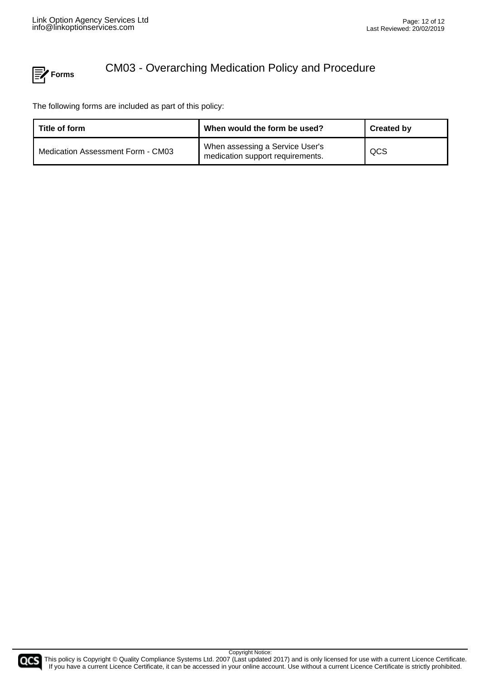

The following forms are included as part of this policy:

| Title of form                     | When would the form be used?                                        | <b>Created by</b> |
|-----------------------------------|---------------------------------------------------------------------|-------------------|
| Medication Assessment Form - CM03 | When assessing a Service User's<br>medication support requirements. | QCS               |



Copyright Notice: This policy is Copyright © Quality Compliance Systems Ltd. 2007 (Last updated 2017) and is only licensed for use with a current Licence Certificate. If you have a current Licence Certificate, it can be accessed in your online account. Use without a current Licence Certificate is strictly prohibited.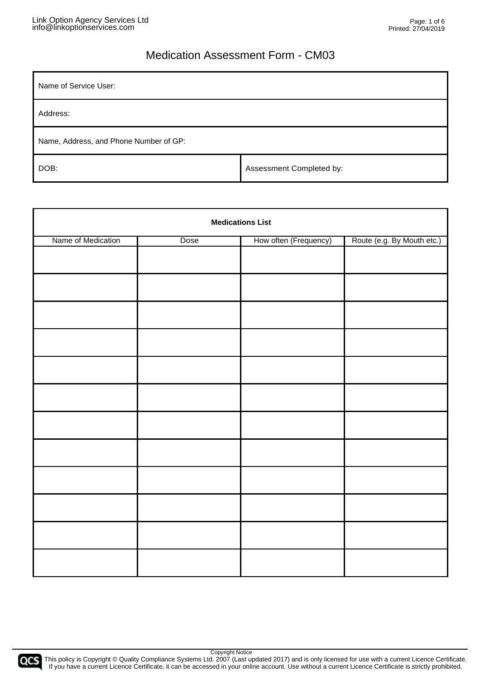| Name of Service User:                  |                          |  |  |
|----------------------------------------|--------------------------|--|--|
| Address:                               |                          |  |  |
| Name, Address, and Phone Number of GP: |                          |  |  |
| DOB:                                   | Assessment Completed by: |  |  |

| <b>Medications List</b> |      |                       |                            |  |
|-------------------------|------|-----------------------|----------------------------|--|
| Name of Medication      | Dose | How often (Frequency) | Route (e.g. By Mouth etc.) |  |
|                         |      |                       |                            |  |
|                         |      |                       |                            |  |
|                         |      |                       |                            |  |
|                         |      |                       |                            |  |
|                         |      |                       |                            |  |
|                         |      |                       |                            |  |
|                         |      |                       |                            |  |
|                         |      |                       |                            |  |
|                         |      |                       |                            |  |
|                         |      |                       |                            |  |
|                         |      |                       |                            |  |
|                         |      |                       |                            |  |



This policy is Copyright © Quality Compliance Systems Ltd. 2007 (Last updated 2017) and is only licensed for use with a current Licence Certificate. If you have a current Licence Certificate, it can be accessed in your online account. Use without a current Licence Certificate is strictly prohibited.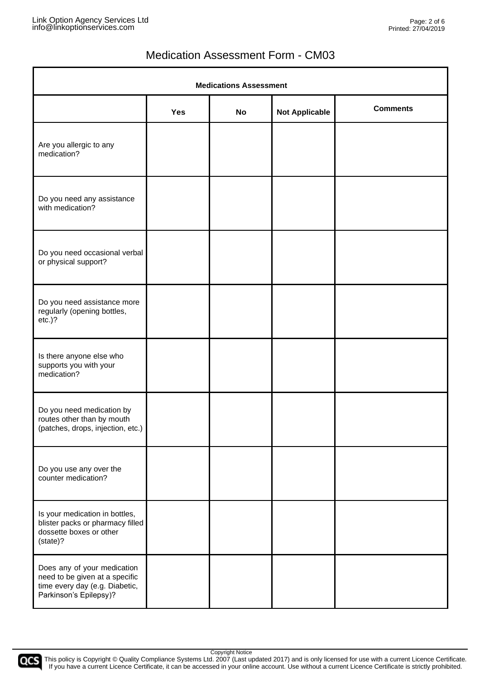| <b>Medications Assessment</b>                                                                                             |            |           |                       |                 |
|---------------------------------------------------------------------------------------------------------------------------|------------|-----------|-----------------------|-----------------|
|                                                                                                                           | <b>Yes</b> | <b>No</b> | <b>Not Applicable</b> | <b>Comments</b> |
| Are you allergic to any<br>medication?                                                                                    |            |           |                       |                 |
| Do you need any assistance<br>with medication?                                                                            |            |           |                       |                 |
| Do you need occasional verbal<br>or physical support?                                                                     |            |           |                       |                 |
| Do you need assistance more<br>regularly (opening bottles,<br>$etc.$ )?                                                   |            |           |                       |                 |
| Is there anyone else who<br>supports you with your<br>medication?                                                         |            |           |                       |                 |
| Do you need medication by<br>routes other than by mouth<br>(patches, drops, injection, etc.)                              |            |           |                       |                 |
| Do you use any over the<br>counter medication?                                                                            |            |           |                       |                 |
| Is your medication in bottles,<br>blister packs or pharmacy filled<br>dossette boxes or other<br>(state)?                 |            |           |                       |                 |
| Does any of your medication<br>need to be given at a specific<br>time every day (e.g. Diabetic,<br>Parkinson's Epilepsy)? |            |           |                       |                 |

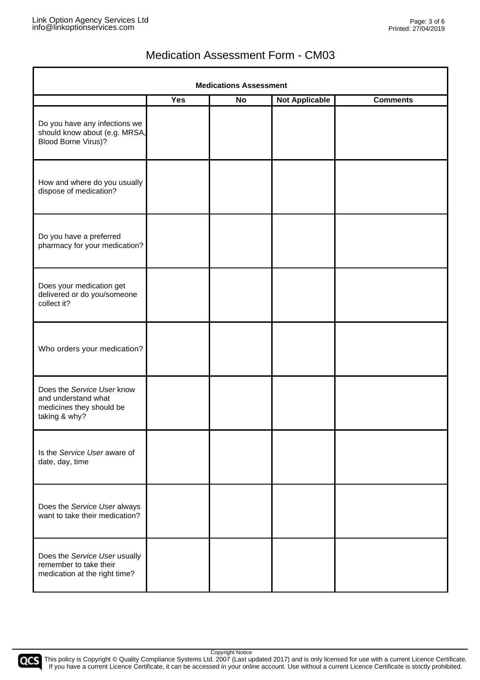| <b>Medications Assessment</b>                                                                  |     |           |                       |                 |  |
|------------------------------------------------------------------------------------------------|-----|-----------|-----------------------|-----------------|--|
|                                                                                                | Yes | <b>No</b> | <b>Not Applicable</b> | <b>Comments</b> |  |
| Do you have any infections we<br>should know about (e.g. MRSA,<br>Blood Borne Virus)?          |     |           |                       |                 |  |
| How and where do you usually<br>dispose of medication?                                         |     |           |                       |                 |  |
| Do you have a preferred<br>pharmacy for your medication?                                       |     |           |                       |                 |  |
| Does your medication get<br>delivered or do you/someone<br>collect it?                         |     |           |                       |                 |  |
| Who orders your medication?                                                                    |     |           |                       |                 |  |
| Does the Service User know<br>and understand what<br>medicines they should be<br>taking & why? |     |           |                       |                 |  |
| Is the Service User aware of<br>date, day, time                                                |     |           |                       |                 |  |
| Does the Service User always<br>want to take their medication?                                 |     |           |                       |                 |  |
| Does the Service User usually<br>remember to take their<br>medication at the right time?       |     |           |                       |                 |  |



Copyright Notice This policy is Copyright © Quality Compliance Systems Ltd. 2007 (Last updated 2017) and is only licensed for use with a current Licence Certificate. If you have a current Licence Certificate, it can be accessed in your online account. Use without a current Licence Certificate is strictly prohibited.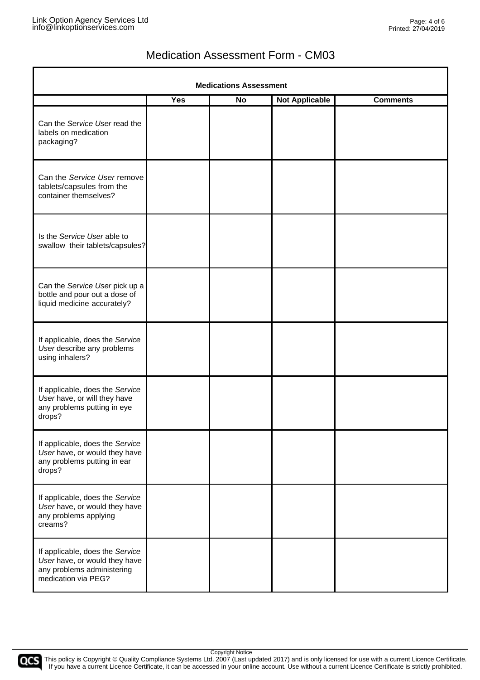| <b>Medications Assessment</b>                                                                                         |            |           |                       |                 |  |
|-----------------------------------------------------------------------------------------------------------------------|------------|-----------|-----------------------|-----------------|--|
|                                                                                                                       | <b>Yes</b> | <b>No</b> | <b>Not Applicable</b> | <b>Comments</b> |  |
| Can the Service User read the<br>labels on medication<br>packaging?                                                   |            |           |                       |                 |  |
| Can the Service User remove<br>tablets/capsules from the<br>container themselves?                                     |            |           |                       |                 |  |
| Is the Service User able to<br>swallow their tablets/capsules?                                                        |            |           |                       |                 |  |
| Can the Service User pick up a<br>bottle and pour out a dose of<br>liquid medicine accurately?                        |            |           |                       |                 |  |
| If applicable, does the Service<br>User describe any problems<br>using inhalers?                                      |            |           |                       |                 |  |
| If applicable, does the Service<br>User have, or will they have<br>any problems putting in eye<br>drops?              |            |           |                       |                 |  |
| If applicable, does the Service<br>User have, or would they have<br>any problems putting in ear<br>drops?             |            |           |                       |                 |  |
| If applicable, does the Service<br>User have, or would they have<br>any problems applying<br>creams?                  |            |           |                       |                 |  |
| If applicable, does the Service<br>User have, or would they have<br>any problems administering<br>medication via PEG? |            |           |                       |                 |  |

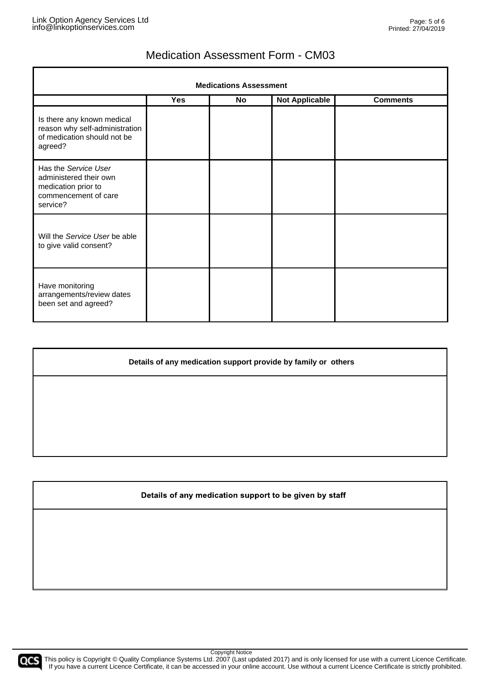| <b>Medications Assessment</b>                                                                             |            |           |                       |                 |  |
|-----------------------------------------------------------------------------------------------------------|------------|-----------|-----------------------|-----------------|--|
|                                                                                                           | <b>Yes</b> | <b>No</b> | <b>Not Applicable</b> | <b>Comments</b> |  |
| Is there any known medical<br>reason why self-administration<br>of medication should not be<br>agreed?    |            |           |                       |                 |  |
| Has the Service User<br>administered their own<br>medication prior to<br>commencement of care<br>service? |            |           |                       |                 |  |
| Will the Service User be able<br>to give valid consent?                                                   |            |           |                       |                 |  |
| Have monitoring<br>arrangements/review dates<br>been set and agreed?                                      |            |           |                       |                 |  |

**Details of any medication support provide by family or others**

Details of any medication support to be given by staff



Copyright Notice **OCS** This policy is Copyright © Quality Compliance Systems Ltd. 2007 (Last updated 2017) and is only licensed for use with a current Licence Certificate. If you have a current Licence Certificate, it can be accessed in your online account. Use without a current Licence Certificate is strictly prohibited.